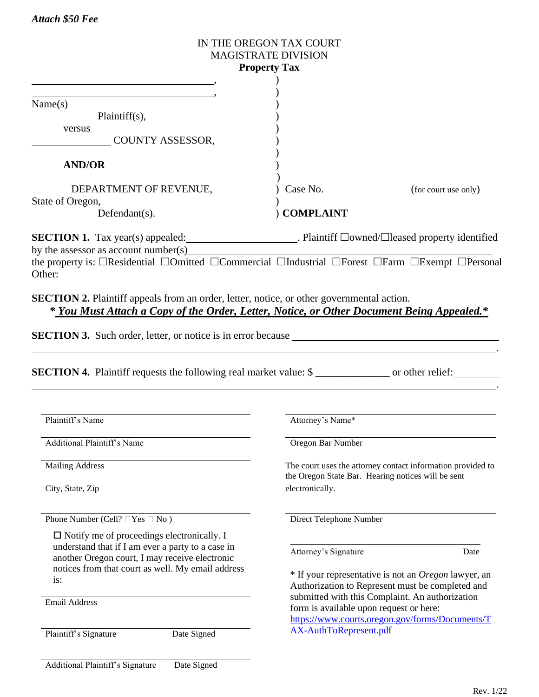## IN THE OREGON TAX COURT MAGISTRATE DIVISION **Property Tax** , ) , )  $Name(s)$  ) Plaintiff(s), versus and the set of the set of the set of the set of the set of the set of the set of the set of the set of the set of the set of the set of the set of the set of the set of the set of the set of the set of the set of th COUNTY ASSESSOR, ) **AND/OR** ) ) DEPARTMENT OF REVENUE,  $\qquad \qquad$  ) Case No. (for court use only) State of Oregon, Defendant(s).  $\qquad \qquad$  **COMPLAINT SECTION 1.** Tax year(s) appealed: . Plaintiff  $\Box$ owned/ $\Box$ leased property identified by the assessor as account number(s) the property is:  $\Box$ Residential  $\Box$ Omitted  $\Box$ Commercial  $\Box$ Industrial  $\Box$ Forest  $\Box$ Farm  $\Box$ Exempt  $\Box$ Personal Other:  $\blacksquare$ **SECTION 2.** Plaintiff appeals from an order, letter, notice, or other governmental action. *\* You Must Attach a Copy of the Order, Letter, Notice, or Other Document Being Appealed.\** **SECTION 3.** Such order, letter, or notice is in error because . **SECTION 4.** Plaintiff requests the following real market value: \$ \_\_\_\_\_\_\_\_\_\_\_\_\_\_ or other relief: . Plaintiff's Name Attorney's Name\* Additional Plaintiff's Name Oregon Bar Number

*Attach \$50 Fee* 

Phone Number (Cell?  $\Box$  Yes  $\Box$  No ) Direct Telephone Number

 $\Box$  Notify me of proceedings electronically. I understand that if I am ever a party to a case in another Oregon court, I may receive electronic notices from that court as well. My email address is:

Email Address

Plaintiff's Signature Date Signed

Mailing Address The court uses the attorney contact information provided to the Oregon State Bar. Hearing notices will be sent City, State, Zip electronically.

Attorney's Signature Date

\* If your representative is not an *Oregon* lawyer, an Authorization to Represent must be completed and submitted with this Complaint. An authorization form is available upon request or here: [https://www.courts.oregon.gov/forms/Documents/T](https://www.courts.oregon.gov/forms/Documents/TAX-AuthToRepresent.pdf) [AX-AuthToRepresent.pdf](https://www.courts.oregon.gov/forms/Documents/TAX-AuthToRepresent.pdf)